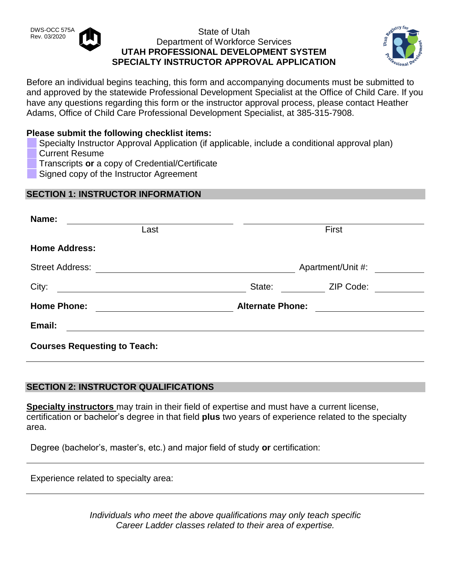## DWS-OCC 575A<br>Rev. 03/2020 State of Utah Department of Workforce Services **UTAH PROFESSIONAL DEVELOPMENT SYSTEM SPECIALTY INSTRUCTOR APPROVAL APPLICATION**



Before an individual begins teaching, this form and accompanying documents must be submitted to and approved by the statewide Professional Development Specialist at the Office of Child Care. If you have any questions regarding this form or the instructor approval process, please contact Heather Adams, Office of Child Care Professional Development Specialist, at 385-315-7908.

## **Please submit the following checklist items:**

- Specialty Instructor Approval Application (if applicable, include a conditional approval plan) Current Resume
- Transcripts **or** a copy of Credential/Certificate
- Signed copy of the Instructor Agreement

# **SECTION 1: INSTRUCTOR INFORMATION**

| Name:                               |                                                                                                                                                                                                                                      |        |                   |  |
|-------------------------------------|--------------------------------------------------------------------------------------------------------------------------------------------------------------------------------------------------------------------------------------|--------|-------------------|--|
|                                     | Last                                                                                                                                                                                                                                 |        | First             |  |
| <b>Home Address:</b>                |                                                                                                                                                                                                                                      |        |                   |  |
| <b>Street Address:</b>              |                                                                                                                                                                                                                                      |        | Apartment/Unit #: |  |
| City:                               | <u>and the state of the state of the state of the state of the state of the state of the state of the state of the state of the state of the state of the state of the state of the state of the state of the state of the state</u> | State: | ZIP Code:         |  |
| <b>Home Phone:</b>                  | <b>Alternate Phone:</b>                                                                                                                                                                                                              |        |                   |  |
| Email:                              |                                                                                                                                                                                                                                      |        |                   |  |
| <b>Courses Requesting to Teach:</b> |                                                                                                                                                                                                                                      |        |                   |  |

## **SECTION 2: INSTRUCTOR QUALIFICATIONS**

**Specialty instructors** may train in their field of expertise and must have a current license, certification or bachelor's degree in that field **plus** two years of experience related to the specialty area.

Degree (bachelor's, master's, etc.) and major field of study **or** certification:

Experience related to specialty area:

*Individuals who meet the above qualifications may only teach specific Career Ladder classes related to their area of expertise.*